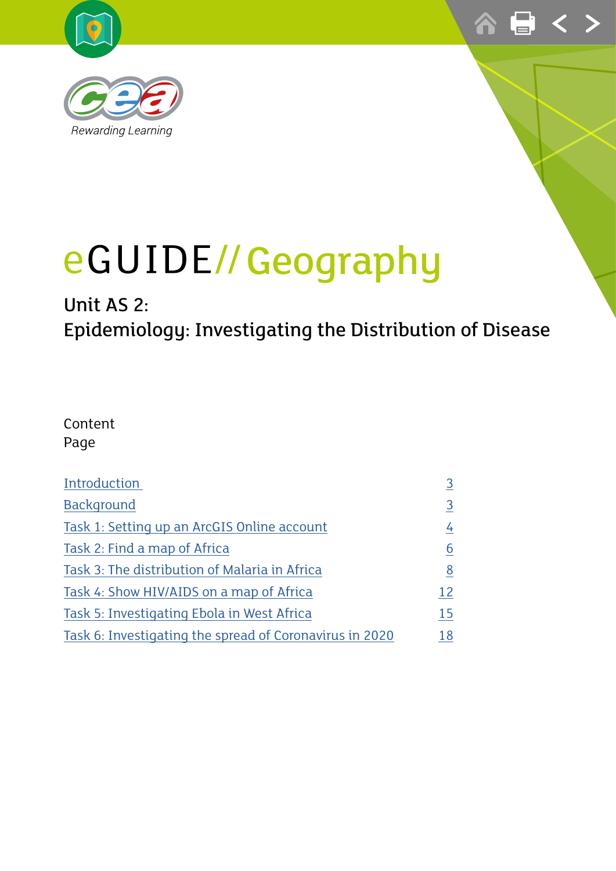



# Unit AS 2: Epidemiology: Investigating the Distribution of Disease

#### Content Page

| Introduction                                            | 3               |
|---------------------------------------------------------|-----------------|
| <b>Background</b>                                       | 3               |
| Task 1: Setting up an ArcGIS Online account             | $\frac{4}{1}$   |
| Task 2: Find a map of Africa                            | $\underline{6}$ |
| Task 3: The distribution of Malaria in Africa           | 8               |
| Task 4: Show HIV/AIDS on a map of Africa                | 12              |
| Task 5: Investigating Ebola in West Africa              | 15              |
| Task 6: Investigating the spread of Coronavirus in 2020 | 18              |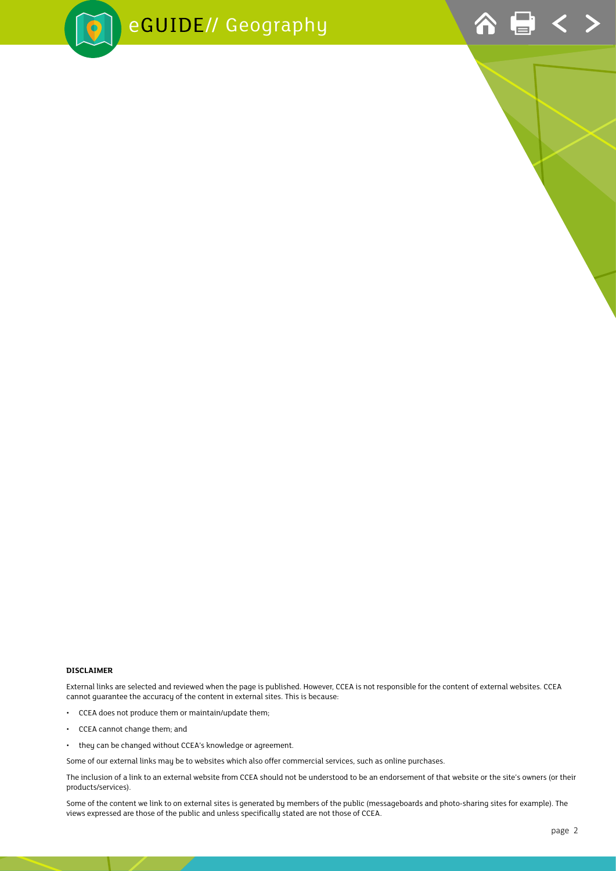



#### **DISCLAIMER**

External links are selected and reviewed when the page is published. However, CCEA is not responsible for the content of external websites. CCEA cannot guarantee the accuracy of the content in external sites. This is because:

- CCEA does not produce them or maintain/update them;
- CCEA cannot change them; and
- they can be changed without CCEA's knowledge or agreement.

Some of our external links may be to websites which also offer commercial services, such as online purchases.

The inclusion of a link to an external website from CCEA should not be understood to be an endorsement of that website or the site's owners (or their products/services).

Some of the content we link to on external sites is generated by members of the public (messageboards and photo-sharing sites for example). The views expressed are those of the public and unless specifically stated are not those of CCEA.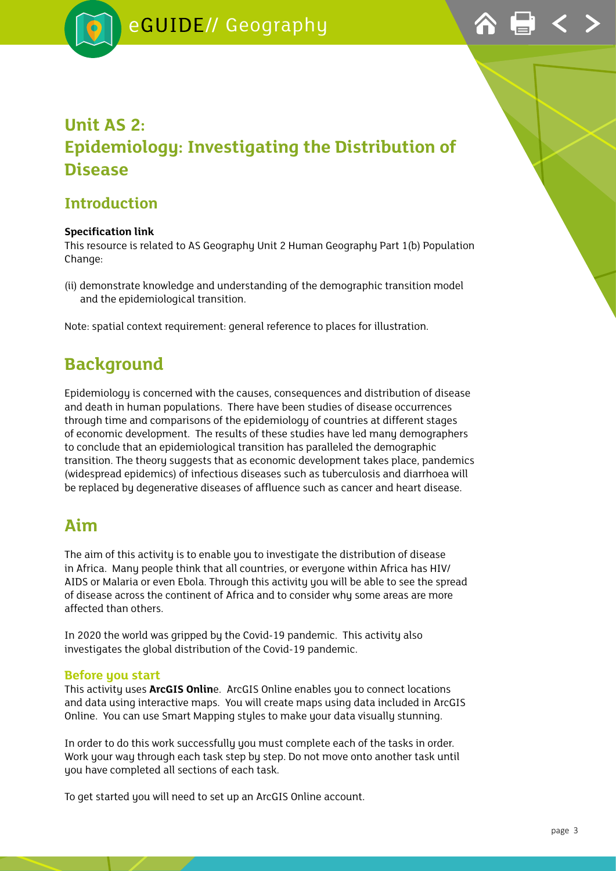

## <span id="page-2-0"></span>**Unit AS 2: Epidemiology: Investigating the Distribution of Disease**

#### **Introduction**

#### **Specification link**

This resource is related to AS Geography Unit 2 Human Geography Part 1(b) Population Change:

(ii) demonstrate knowledge and understanding of the demographic transition model and the epidemiological transition.

Note: spatial context requirement: general reference to places for illustration.

## **Background**

Epidemiology is concerned with the causes, consequences and distribution of disease and death in human populations. There have been studies of disease occurrences through time and comparisons of the epidemiology of countries at different stages of economic development. The results of these studies have led many demographers to conclude that an epidemiological transition has paralleled the demographic transition. The theory suggests that as economic development takes place, pandemics (widespread epidemics) of infectious diseases such as tuberculosis and diarrhoea will be replaced by degenerative diseases of affluence such as cancer and heart disease.

### **Aim**

The aim of this activity is to enable you to investigate the distribution of disease in Africa. Many people think that all countries, or everyone within Africa has HIV/ AIDS or Malaria or even Ebola. Through this activity you will be able to see the spread of disease across the continent of Africa and to consider why some areas are more affected than others.

In 2020 the world was gripped by the Covid-19 pandemic. This activity also investigates the global distribution of the Covid-19 pandemic.

#### **Before you start**

This activity uses **ArcGIS Onlin**e. ArcGIS Online enables you to connect locations and data using interactive maps. You will create maps using data included in ArcGIS Online. You can use Smart Mapping styles to make your data visually stunning.

In order to do this work successfully you must complete each of the tasks in order. Work your way through each task step by step. Do not move onto another task until you have completed all sections of each task.

To get started you will need to set up an ArcGIS Online account.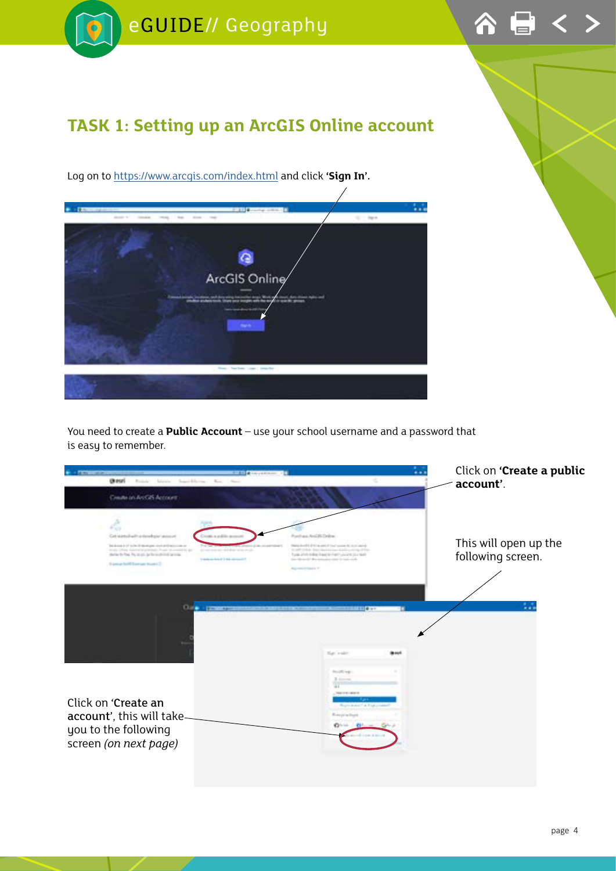<span id="page-3-0"></span>

You need to create a **Public Account** – use your school username and a password that is easy to remember.

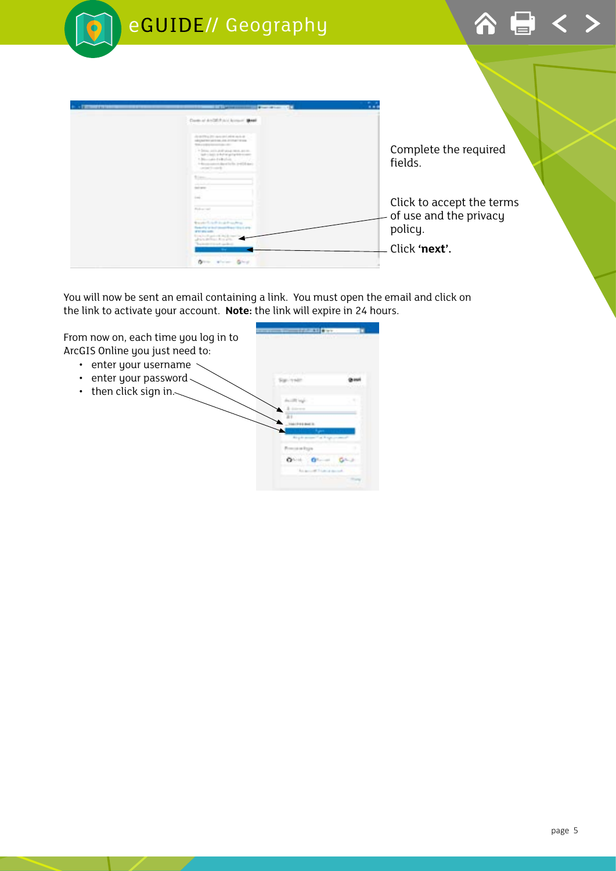

You will now be sent an email containing a link. You must open the email and click on the link to activate your account. **Note:** the link will expire in 24 hours.

**SERVICES** From now on, each time you log in to ArcGIS Online you just need to: • enter your username • enter your password $\sim$ Sprinker • then click sign in. $\sim$ p.  $0 - 0 G_{\text{max}}$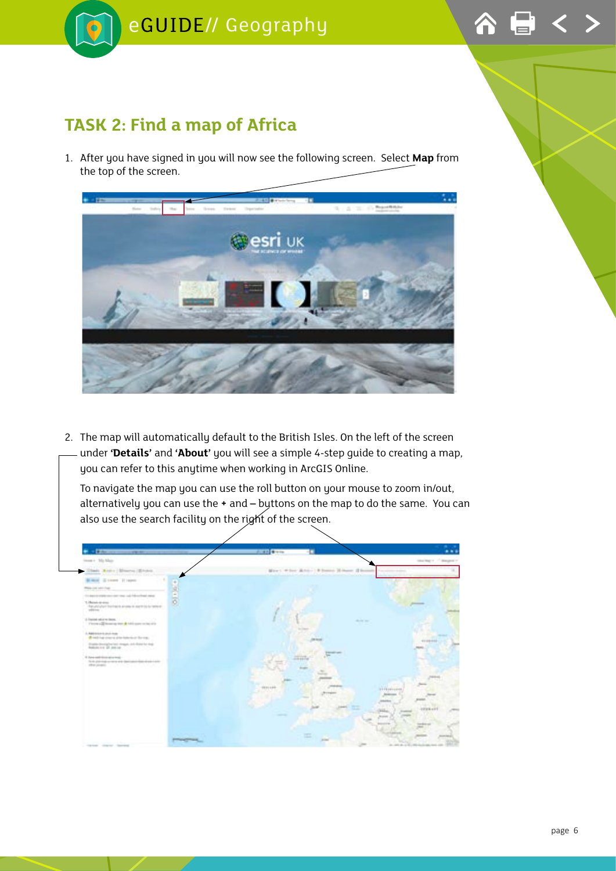<span id="page-5-0"></span>

### **TASK 2: Find a map of Africa**

1. After you have signed in you will now see the following screen. Select **Map** from the top of the screen.



2. The map will automatically default to the British Isles. On the left of the screen under **'Details'** and **'About'** you will see a simple 4-step guide to creating a map, you can refer to this anytime when working in ArcGIS Online.

To navigate the map you can use the roll button on your mouse to zoom in/out, alternatively you can use the **+** and **–** buttons on the map to do the same. You can also use the search facility on the right of the screen.

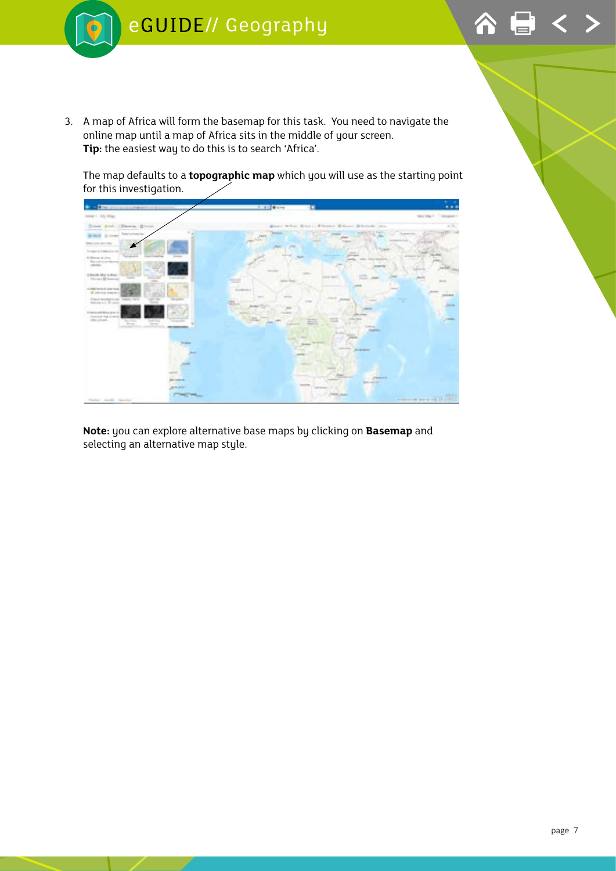

3. A map of Africa will form the basemap for this task. You need to navigate the online map until a map of Africa sits in the middle of your screen. **Tip:** the easiest way to do this is to search 'Africa'.

The map defaults to a **topographic map** which you will use as the starting point for this investigation.



**Note:** you can explore alternative base maps by clicking on **Basemap** and selecting an alternative map style.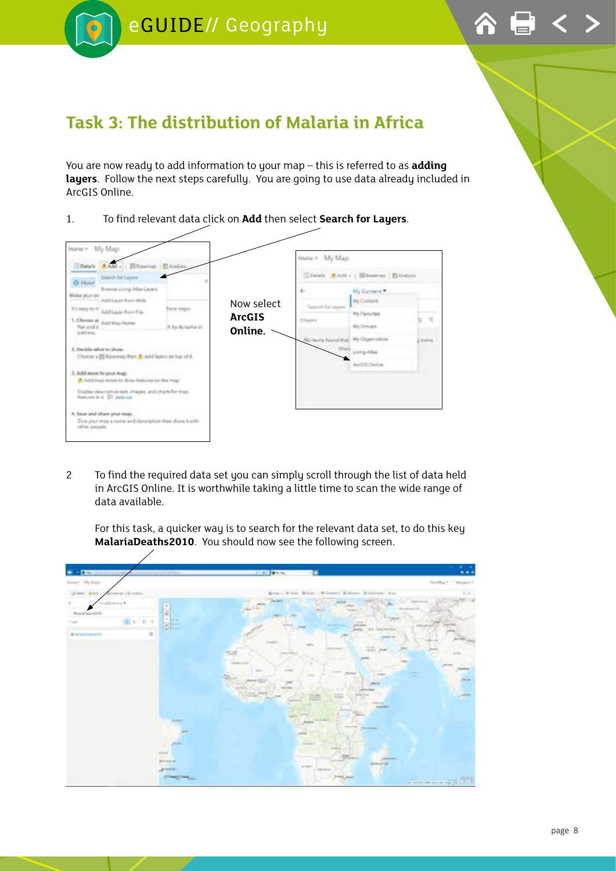<span id="page-7-0"></span>



## **Task 3: The distribution of Malaria in Africa**

You are now ready to add information to your map – this is referred to as **adding layers**. Follow the next steps carefully. You are going to use data already included in ArcGIS Online.





2 To find the required data set you can simply scroll through the list of data held in ArcGIS Online. It is worthwhile taking a little time to scan the wide range of data available.

For this task, a quicker way is to search for the relevant data set, to do this key **MalariaDeaths2010**. You should now see the following screen.

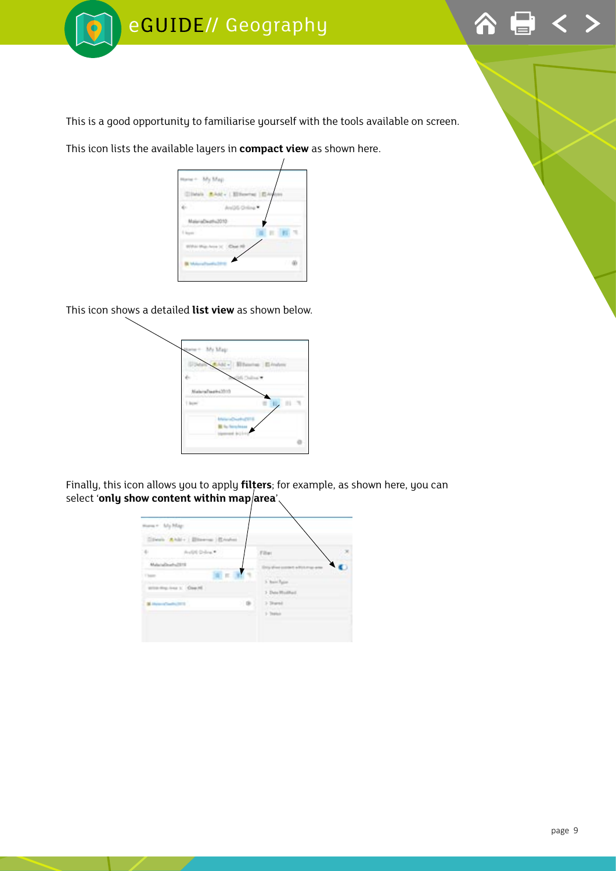



This is a good opportunity to familiarise yourself with the tools available on screen.

This icon lists the available layers in **compact view** as shown here.

| í            |
|--------------|
|              |
|              |
| 7<br>T<br>S. |

This icon shows a detailed **list view** as shown below.



Finally, this icon allows you to apply **filters**; for example, as shown here, you can select 'only show content within map area'.

| awa + My Mag-        | Since Able ( Blowns ) States |      |                                  |  |
|----------------------|------------------------------|------|----------------------------------|--|
| 36                   | Audit Delva *                |      | Filter                           |  |
| Material Ave.        |                              |      |                                  |  |
| 1 Vitam              | 第1世 第1                       |      |                                  |  |
|                      | attracting loss 1. Class H.  |      | 5. Band Paper<br>3 Dela Modified |  |
| M. Howard Serbs 2010 |                              | (10) | 3 David                          |  |
|                      |                              |      | 1-Testus                         |  |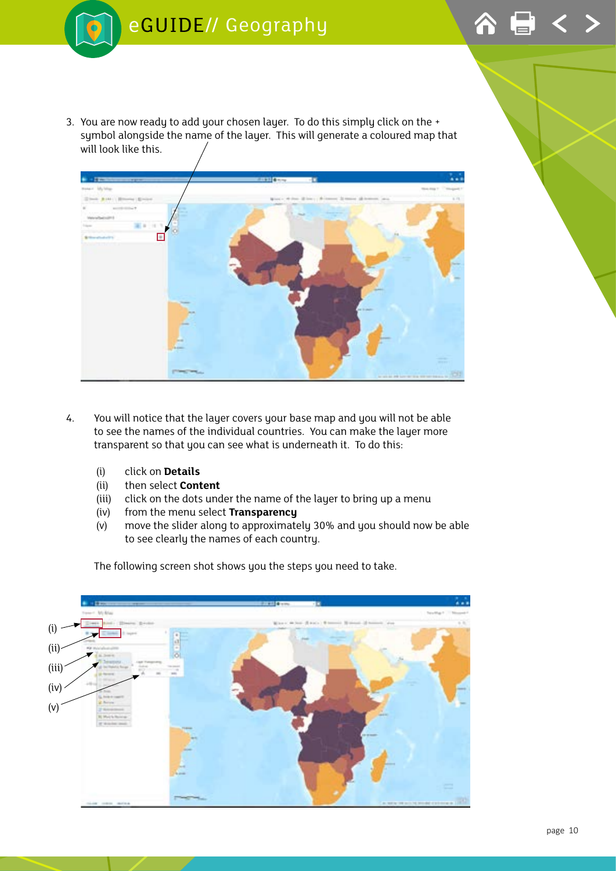

3. You are now ready to add your chosen layer. To do this simply click on the + symbol alongside the name of the layer. This will generate a coloured map that will look like this.



- 4. You will notice that the layer covers your base map and you will not be able to see the names of the individual countries. You can make the layer more transparent so that you can see what is underneath it. To do this:
	- (i) click on **Details**
	- (ii) then select **Content**
	- (iii) click on the dots under the name of the layer to bring up a menu
	- (iv) from the menu select **Transparency**
	- (v) move the slider along to approximately 30% and you should now be able to see clearly the names of each country.



The following screen shot shows you the steps you need to take.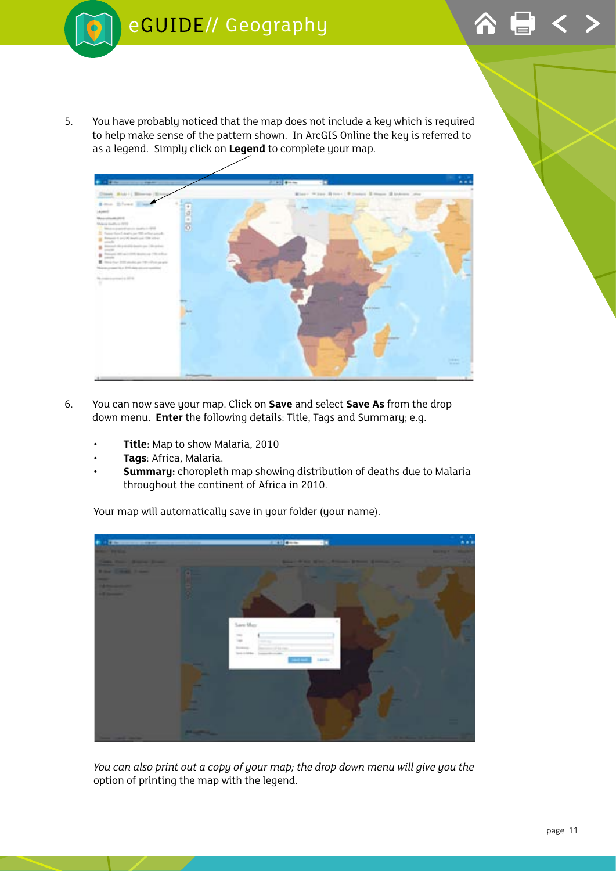

5. You have probably noticed that the map does not include a key which is required to help make sense of the pattern shown. In ArcGIS Online the key is referred to as a legend. Simply click on **Legend** to complete your map.



- 6. You can now save your map. Click on **Save** and select **Save As** from the drop down menu. **Enter** the following details: Title, Tags and Summary; e.g.
	- **Title:** Map to show Malaria, 2010
	- **Tags**: Africa, Malaria.
	- **Summary:** choropleth map showing distribution of deaths due to Malaria throughout the continent of Africa in 2010.

Your map will automatically save in your folder (your name).



*You can also print out a copy of your map; the drop down menu will give you the*  option of printing the map with the legend.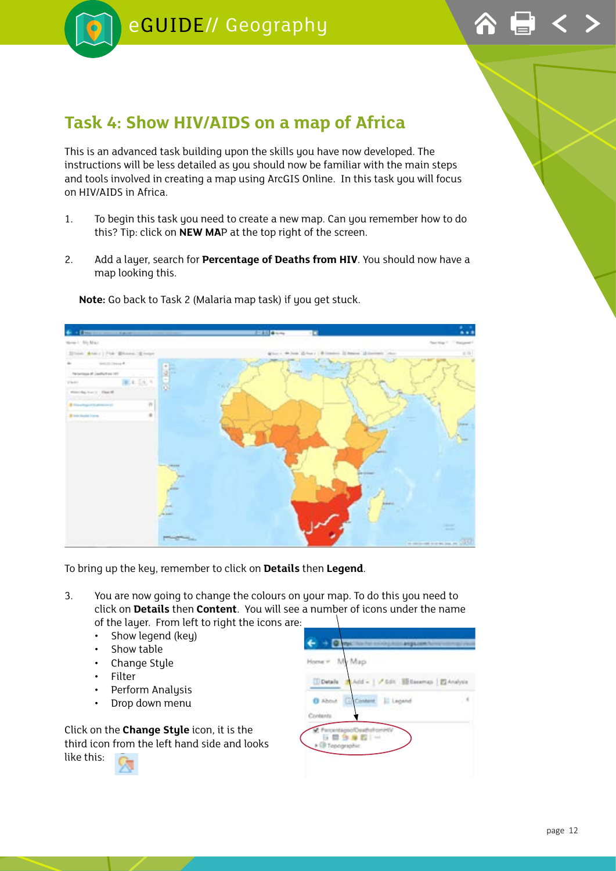<span id="page-11-0"></span>



### **Task 4: Show HIV/AIDS on a map of Africa**

This is an advanced task building upon the skills you have now developed. The instructions will be less detailed as you should now be familiar with the main steps and tools involved in creating a map using ArcGIS Online. In this task you will focus on HIV/AIDS in Africa.

- 1. To begin this task you need to create a new map. Can you remember how to do this? Tip: click on **NEW MA**P at the top right of the screen.
- 2. Add a layer, search for **Percentage of Deaths from HIV**. You should now have a map looking this.



**Note:** Go back to Task 2 (Malaria map task) if you get stuck.

To bring up the key, remember to click on **Details** then **Legend**.

- 3. You are now going to change the colours on your map. To do this you need to click on **Details** then **Content**. You will see a number of icons under the name of the layer. From left to right the icons are:
	- Show legend (key)
	- Show table
	- Change Style
	- Filter
	- Perform Analysis
	- Drop down menu

Click on the **Change Style** icon, it is the third icon from the left hand side and looks like this:

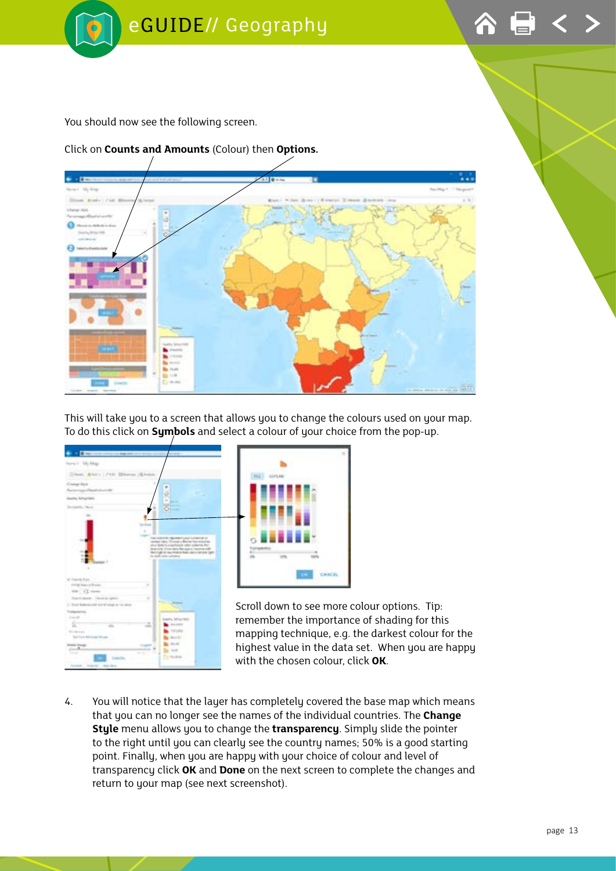

You should now see the following screen.

Click on **Counts and Amounts** (Colour) then **Options.** 



This will take you to a screen that allows you to change the colours used on your map. To do this click on **Symbols** and select a colour of your choice from the pop-up.





Scroll down to see more colour options. Tip: remember the importance of shading for this mapping technique, e.g. the darkest colour for the highest value in the data set. When you are happy with the chosen colour, click **OK**.

4. You will notice that the layer has completely covered the base map which means that you can no longer see the names of the individual countries. The **Change Style** menu allows you to change the **transparency**. Simply slide the pointer to the right until you can clearly see the country names; 50% is a good starting point. Finally, when you are happy with your choice of colour and level of transparency click **OK** and **Done** on the next screen to complete the changes and return to your map (see next screenshot).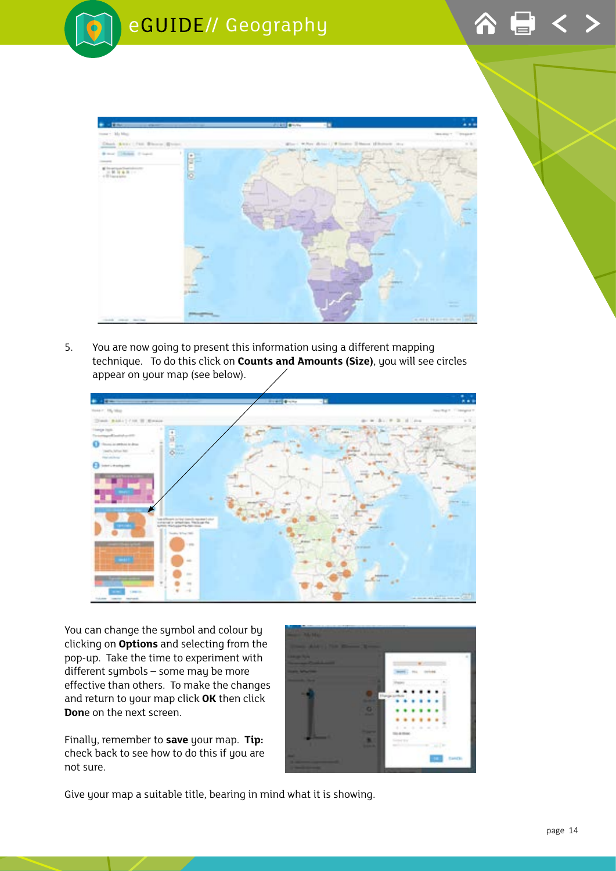



5. You are now going to present this information using a different mapping technique. To do this click on **Counts and Amounts (Size)**, you will see circles appear on your map (see below).



You can change the symbol and colour by clicking on **Options** and selecting from the pop-up. Take the time to experiment with different symbols – some may be more effective than others. To make the changes and return to your map click **OK** then click **Don**e on the next screen.

Finally, remember to **save** your map. **Tip:**  check back to see how to do this if you are not sure.



Give your map a suitable title, bearing in mind what it is showing.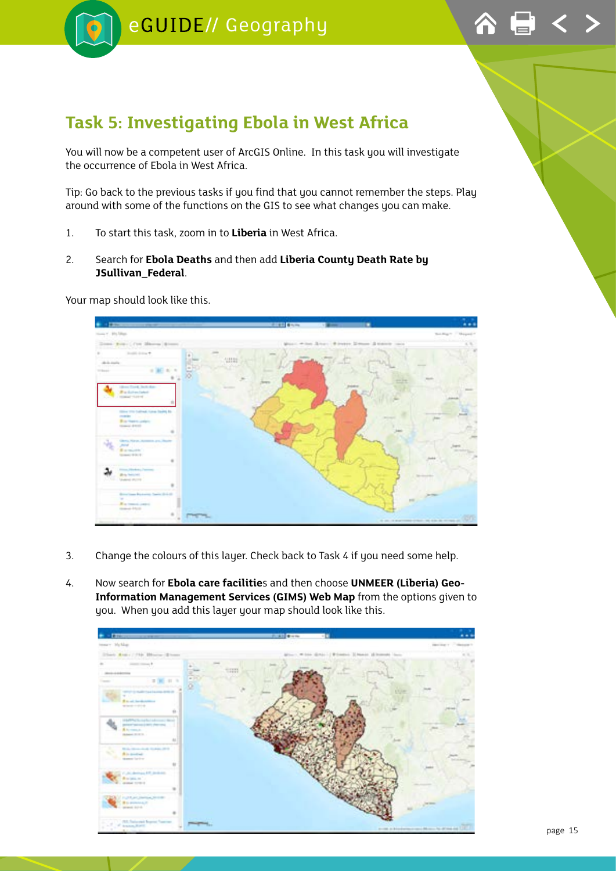<span id="page-14-0"></span>



## **Task 5: Investigating Ebola in West Africa**

You will now be a competent user of ArcGIS Online. In this task you will investigate the occurrence of Ebola in West Africa.

Tip: Go back to the previous tasks if you find that you cannot remember the steps. Play around with some of the functions on the GIS to see what changes you can make.

- 1. To start this task, zoom in to **Liberia** in West Africa.
- 2. Search for **Ebola Deaths** and then add **Liberia County Death Rate by JSullivan\_Federal**.

Your map should look like this.



- 3. Change the colours of this layer. Check back to Task 4 if you need some help.
- 4. Now search for **Ebola care facilitie**s and then choose **UNMEER (Liberia) Geo-Information Management Services (GIMS) Web Map** from the options given to you. When you add this layer your map should look like this.

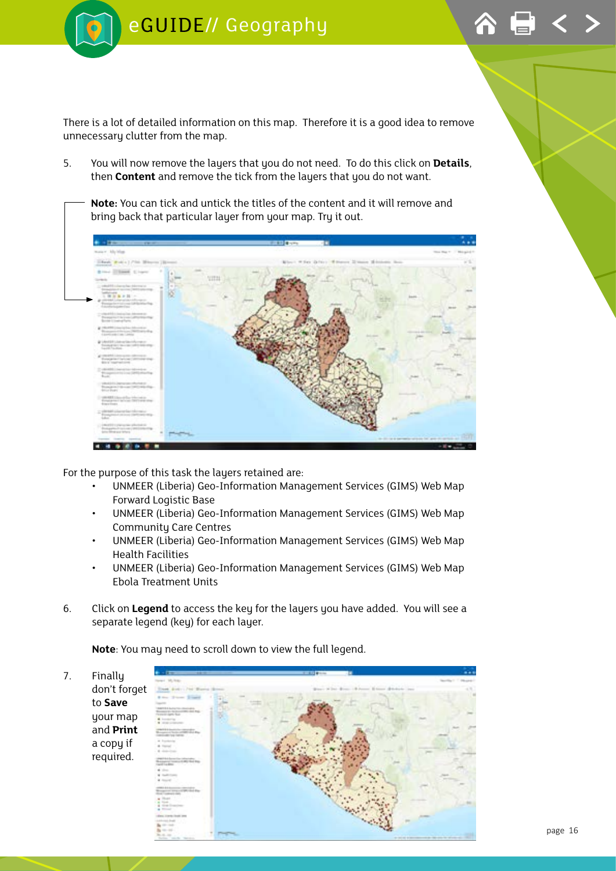

There is a lot of detailed information on this map. Therefore it is a good idea to remove unnecessary clutter from the map.

5. You will now remove the layers that you do not need. To do this click on **Details**, then **Content** and remove the tick from the layers that you do not want.

**Note:** You can tick and untick the titles of the content and it will remove and bring back that particular layer from your map. Try it out.



For the purpose of this task the layers retained are:

- UNMEER (Liberia) Geo-Information Management Services (GIMS) Web Map Forward Logistic Base
- UNMEER (Liberia) Geo-Information Management Services (GIMS) Web Map Community Care Centres
- UNMEER (Liberia) Geo-Information Management Services (GIMS) Web Map Health Facilities
- UNMEER (Liberia) Geo-Information Management Services (GIMS) Web Map Ebola Treatment Units
- 6. Click on **Legend** to access the key for the layers you have added. You will see a separate legend (key) for each layer.

**Note**: You may need to scroll down to view the full legend.

7. Finally don't forget to **Save** your map and **Print** a copy if required.

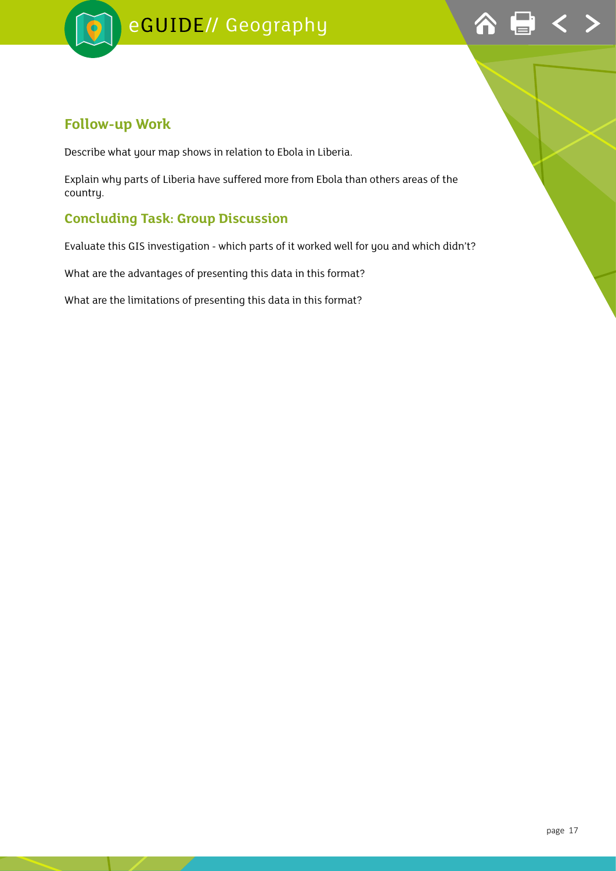



#### **Follow-up Work**

Describe what your map shows in relation to Ebola in Liberia.

Explain why parts of Liberia have suffered more from Ebola than others areas of the country.

#### **Concluding Task: Group Discussion**

Evaluate this GIS investigation - which parts of it worked well for you and which didn't?

What are the advantages of presenting this data in this format?

What are the limitations of presenting this data in this format?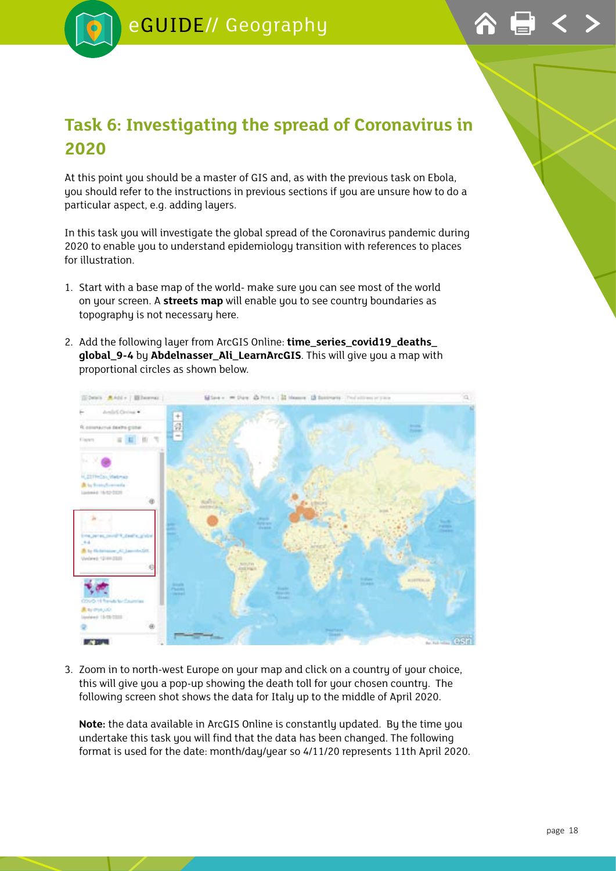## <span id="page-17-0"></span>**Task 6: Investigating the spread of Coronavirus in 2020**

At this point you should be a master of GIS and, as with the previous task on Ebola, you should refer to the instructions in previous sections if you are unsure how to do a particular aspect, e.g. adding layers.

In this task you will investigate the global spread of the Coronavirus pandemic during 2020 to enable you to understand epidemiology transition with references to places for illustration.

- 1. Start with a base map of the world- make sure you can see most of the world on your screen. A **streets map** will enable you to see country boundaries as topography is not necessary here.
- 2. Add the following layer from ArcGIS Online: **time\_series\_covid19\_deaths\_ global\_9-4** by **Abdelnasser\_Ali\_LearnArcGIS**. This will give you a map with proportional circles as shown below.



3. Zoom in to north-west Europe on your map and click on a country of your choice, this will give you a pop-up showing the death toll for your chosen country. The following screen shot shows the data for Italy up to the middle of April 2020.

**Note:** the data available in ArcGIS Online is constantly updated. By the time you undertake this task you will find that the data has been changed. The following format is used for the date: month/day/year so 4/11/20 represents 11th April 2020.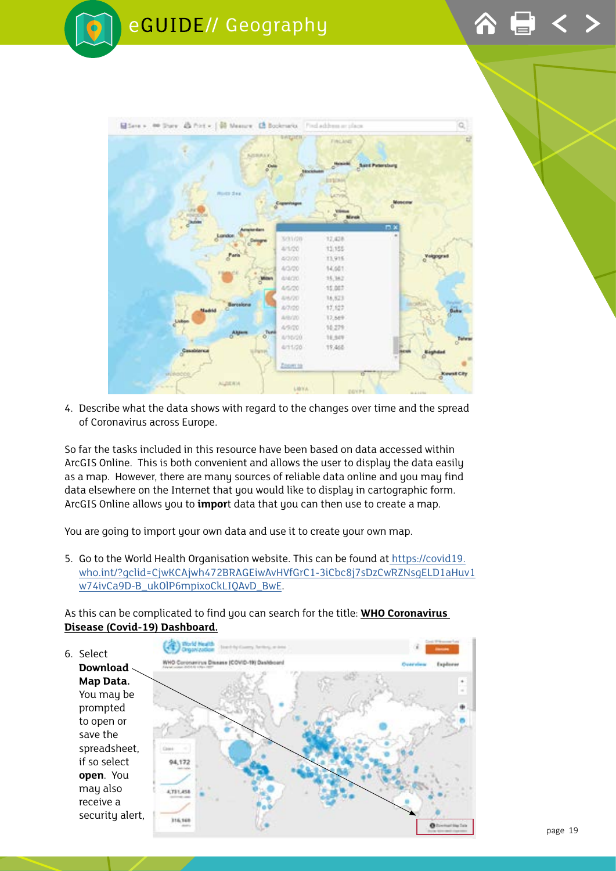

4. Describe what the data shows with regard to the changes over time and the spread of Coronavirus across Europe.

So far the tasks included in this resource have been based on data accessed within ArcGIS Online. This is both convenient and allows the user to display the data easily as a map. However, there are many sources of reliable data online and you may find data elsewhere on the Internet that you would like to display in cartographic form. ArcGIS Online allows you to **impor**t data that you can then use to create a map.

You are going to import your own data and use it to create your own map.

5. Go to the World Health Organisation website. This can be found a[t https://covid19.]( https://covid19.who.int/?gclid=CjwKCAjwh472BRAGEiwAvHVfGrC1-3iCbc8j7sDzCwRZNsgELD1aHuv1w74ivCa9D-B_ukOlP6mpixoCkLIQAvD_BwE) [who.int/?gclid=CjwKCAjwh472BRAGEiwAvHVfGrC1-3iCbc8j7sDzCwRZNsgELD1aHuv1]( https://covid19.who.int/?gclid=CjwKCAjwh472BRAGEiwAvHVfGrC1-3iCbc8j7sDzCwRZNsgELD1aHuv1w74ivCa9D-B_ukOlP6mpixoCkLIQAvD_BwE) [w74ivCa9D-B\\_ukOlP6mpixoCkLIQAvD\\_BwE]( https://covid19.who.int/?gclid=CjwKCAjwh472BRAGEiwAvHVfGrC1-3iCbc8j7sDzCwRZNsgELD1aHuv1w74ivCa9D-B_ukOlP6mpixoCkLIQAvD_BwE).

As this can be complicated to find you can search for the title: **WHO Coronavirus Disease (Covid-19) Dashboard.**

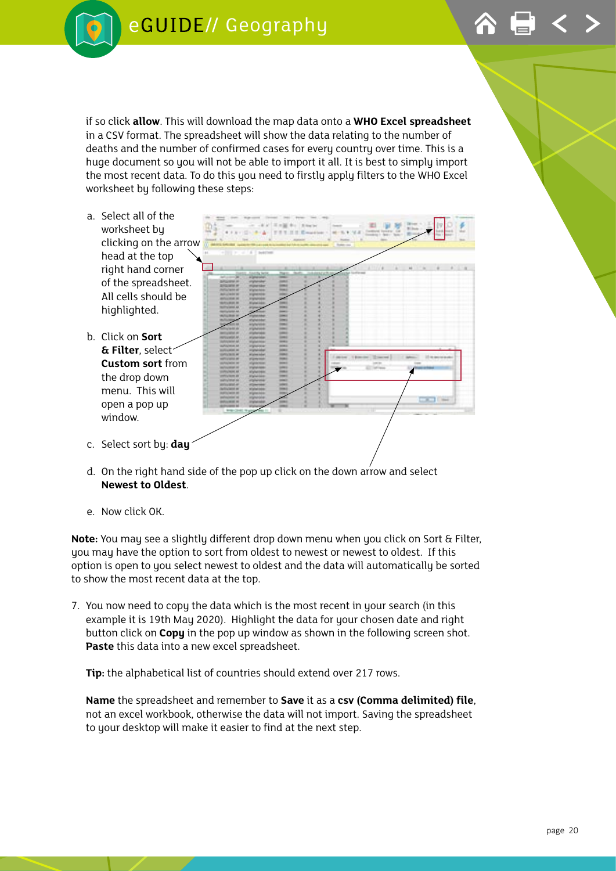





- d. On the right hand side of the pop up click on the down arrow and select **Newest to Oldest**.
- e. Now click OK.

**Note:** You may see a slightly different drop down menu when you click on Sort & Filter, you may have the option to sort from oldest to newest or newest to oldest. If this option is open to you select newest to oldest and the data will automatically be sorted to show the most recent data at the top.

7. You now need to copy the data which is the most recent in your search (in this example it is 19th May 2020). Highlight the data for your chosen date and right button click on **Copy** in the pop up window as shown in the following screen shot. **Paste** this data into a new excel spreadsheet.

**Tip:** the alphabetical list of countries should extend over 217 rows.

**Name** the spreadsheet and remember to **Save** it as a **csv (Comma delimited) file**, not an excel workbook, otherwise the data will not import. Saving the spreadsheet to your desktop will make it easier to find at the next step.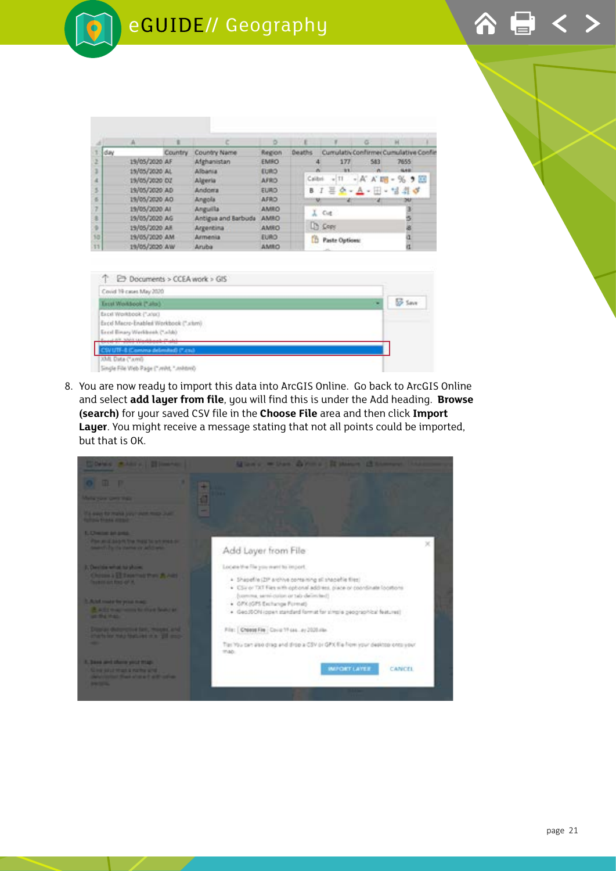|     |                | ٠       |                     | ö           |               |                       |     | ×                                    |  |
|-----|----------------|---------|---------------------|-------------|---------------|-----------------------|-----|--------------------------------------|--|
| day |                | Country | Country Name        | Region      | <b>Deaths</b> |                       |     | Cumulativ Confirmer Cumulative Coofi |  |
|     | 19/05/2020 AF  |         | Afghanistan         | EMRO        |               | 177                   | 583 | 7655                                 |  |
|     | 15/05/2020 AL  |         | <b>Albania</b>      | EURO.       |               | <b>BY</b>             | n   | <b>NAME</b>                          |  |
|     | 19/05/2020 DZ  |         | Algeria             | <b>AFRO</b> |               | Calibri - TT          |     | $-K$ $K$ $m$ - $%$ $9$ $m$           |  |
|     | 19/05/2020 AD  |         | Andorra             | <b>EURO</b> |               |                       |     | B J 三〇 - A - H - 넘 최 5               |  |
|     | 19/05/2020 AO  |         | Angola              | AFRO        |               | ×                     | - 4 | w                                    |  |
|     | 19/05/2020 All |         | Anguilla            | AMRO        |               | $L$ Cut               |     |                                      |  |
|     | 19/05/2020 AG  |         | Antigua and Barbuda | AMEO        |               |                       |     |                                      |  |
|     | 19/05/2020 All |         | Argentina           | AMEO        |               | <b>D</b> Copy         |     |                                      |  |
|     | 19/05/2020 AM  |         | Armenia             | <b>EURO</b> |               | <b>Paste Options:</b> |     |                                      |  |
|     | 19/05/2020 AW  |         | Aruba               | AMRO        |               |                       |     |                                      |  |

| Covid 19 cases May 2020                  |                |
|------------------------------------------|----------------|
| Estat Workbook ("alia)                   | <b>SE Save</b> |
| Excel Workbook ("urisc)                  |                |
| Excel Macro-Enabled Workbook (".xismi)   |                |
| Encyl Binary Werkleish ("aldo)           |                |
| 1. Allegely dealership and the first and |                |
| (UTF-8 (Comma delimited) (".cn/)         |                |
| 2041, Data ("Jumil)                      |                |
| Single File Web Page (" wint, " militim) |                |

8. You are now ready to import this data into ArcGIS Online. Go back to ArcGIS Online and select **add layer from file**, you will find this is under the Add heading. **Browse (search)** for your saved CSV file in the **Choose File** area and then click **Import Layer**. You might receive a message stating that not all points could be imported, but that is OK.

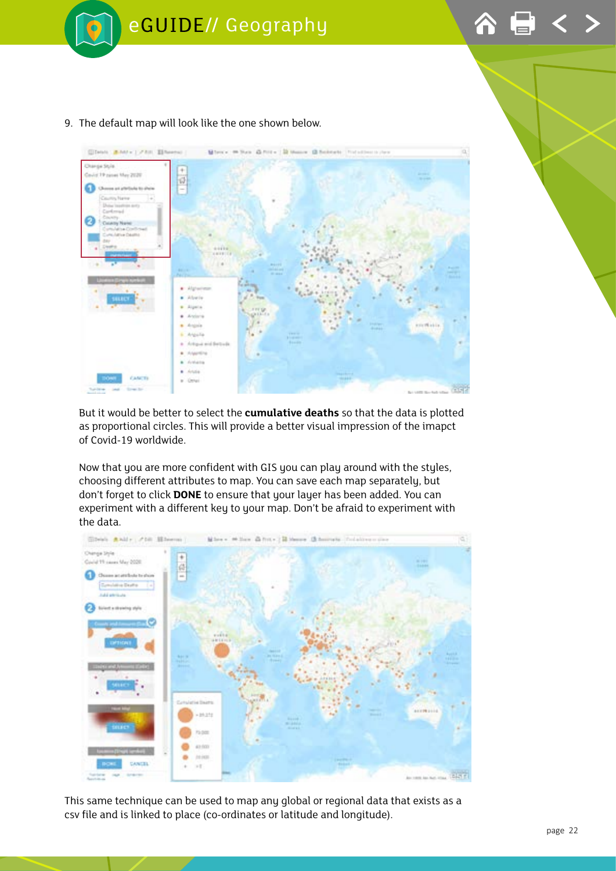



#### 9. The default map will look like the one shown below.

But it would be better to select the **cumulative deaths** so that the data is plotted as proportional circles. This will provide a better visual impression of the imapct of Covid-19 worldwide.

Now that you are more confident with GIS you can play around with the styles, choosing different attributes to map. You can save each map separately, but don't forget to click **DONE** to ensure that your layer has been added. You can experiment with a different key to your map. Don't be afraid to experiment with the data.



This same technique can be used to map any global or regional data that exists as a csv file and is linked to place (co-ordinates or latitude and longitude).